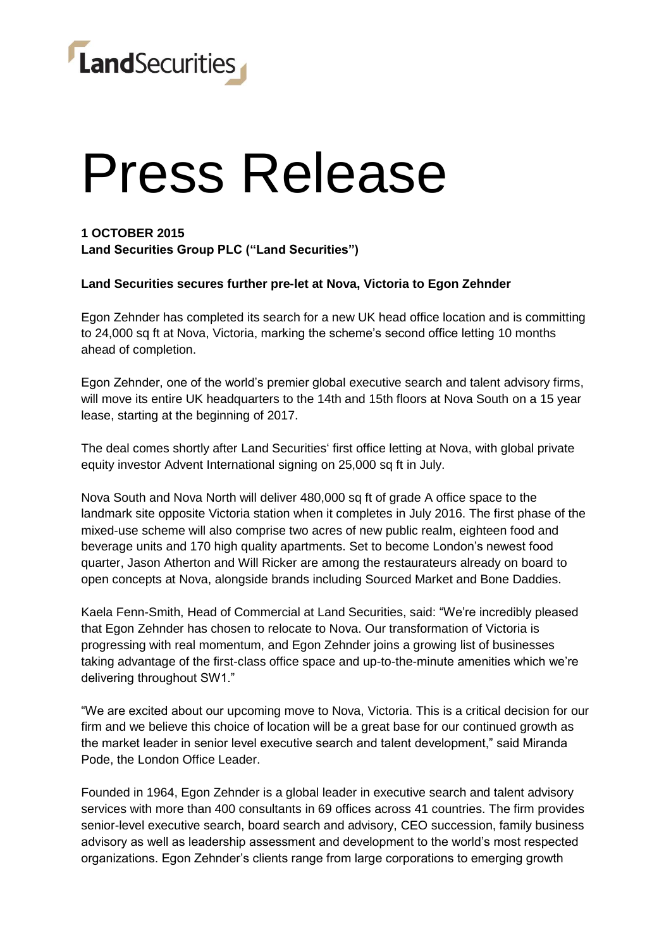

## Press Release

### **1 OCTOBER 2015 Land Securities Group PLC ("Land Securities")**

**Land Securities secures further pre-let at Nova, Victoria to Egon Zehnder** 

Egon Zehnder has completed its search for a new UK head office location and is committing to 24,000 sq ft at Nova, Victoria, marking the scheme's second office letting 10 months ahead of completion.

Egon Zehnder, one of the world's premier global executive search and talent advisory firms, will move its entire UK headquarters to the 14th and 15th floors at Nova South on a 15 year lease, starting at the beginning of 2017.

The deal comes shortly after Land Securities' first office letting at Nova, with global private equity investor Advent International signing on 25,000 sq ft in July.

Nova South and Nova North will deliver 480,000 sq ft of grade A office space to the landmark site opposite Victoria station when it completes in July 2016. The first phase of the mixed-use scheme will also comprise two acres of new public realm, eighteen food and beverage units and 170 high quality apartments. Set to become London's newest food quarter, Jason Atherton and Will Ricker are among the restaurateurs already on board to open concepts at Nova, alongside brands including Sourced Market and Bone Daddies.

Kaela Fenn-Smith, Head of Commercial at Land Securities, said: "We're incredibly pleased that Egon Zehnder has chosen to relocate to Nova. Our transformation of Victoria is progressing with real momentum, and Egon Zehnder joins a growing list of businesses taking advantage of the first-class office space and up-to-the-minute amenities which we're delivering throughout SW1."

"We are excited about our upcoming move to Nova, Victoria. This is a critical decision for our firm and we believe this choice of location will be a great base for our continued growth as the market leader in senior level executive search and talent development," said Miranda Pode, the London Office Leader.

Founded in 1964, Egon Zehnder is a global leader in executive search and talent advisory services with more than 400 consultants in 69 offices across 41 countries. The firm provides senior-level executive search, board search and advisory, CEO succession, family business advisory as well as leadership assessment and development to the world's most respected organizations. Egon Zehnder's clients range from large corporations to emerging growth